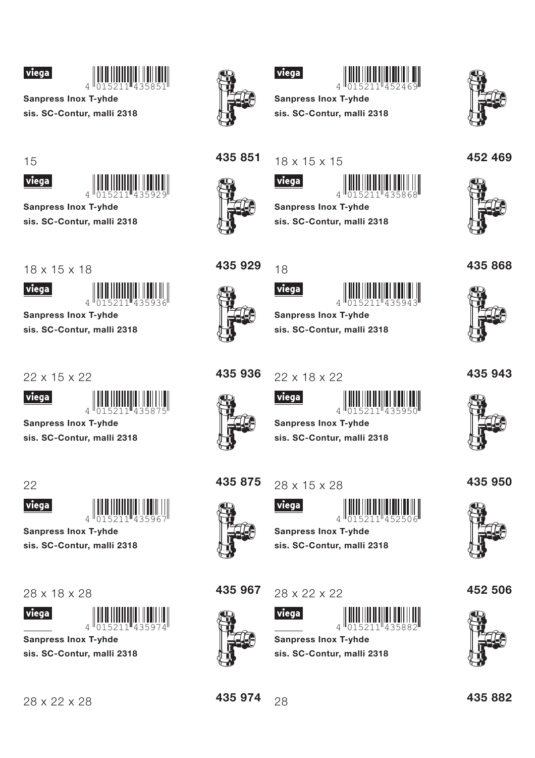



**Sanpress Inox T-yhde** sis. SC-Contur, malli 2318

15



**Sanpress Inox T-yhde** 

sis. SC-Contur, malli 2318

 $18 \times 15 \times 18$ 



**Sanpress Inox T-yhde** sis. SC-Contur, malli 2318

22 x 15 x 22



**Sanpress Inox T-yhde** 

sis. SC-Contur, malli 2318



viega



**Sanpress Inox T-vhde** 

sis. SC-Contur, malli 2318

28 x 18 x 28

28 x 22 x 28





**Sanpress Inox T-yhde** sis. SC-Contur, malli 2318



## viega



**Sanpress Inox T-yhde** sis. SC-Contur, malli 2318



## 452 469



435 851

 $|$  viega $|$ 

 $18 \times 15 \times 15$ 



**Sanpress Inox T-yhde** sis. SC-Contur, malli 2318



435868



435 929

18 viega





**Sanpress Inox T-yhde** sis. SC-Contur, malli 2318

435 936 22 x 18 x 22



435 875

435 967









**Sanpress Inox T-yhde** sis. SC-Contur, malli 2318

435 950



452 506



435 974



435 882





28 x 15 x 28

28 x 22 x 22

**Sanpress Inox T-vhde** 

**Sanpress Inox T-yhde** 

sis. SC-Contur, malli 2318

sis. SC-Contur, malli 2318

435883

015211



viega

viega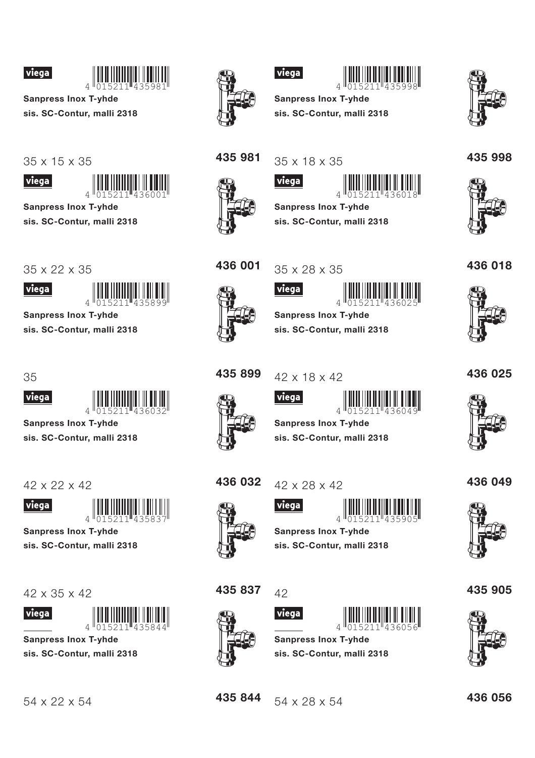



**Sanpress Inox T-yhde** sis. SC-Contur, malli 2318

35 x 15 x 35



**Sanpress Inox T-yhde** sis. SC-Contur, malli 2318

35 x 22 x 35

viega

**Sanpress Inox T-yhde** 

sis. SC-Contur, malli 2318



viega

4

**Sanpress Inox T-yhde** 

sis. SC-Contur, malli 2318

 $42 \times 22 \times 42$ 



**Sanpress Inox T-vhde** sis. SC-Contur, malli 2318

 $42 \times 35 \times 42$ 





**Sanpress Inox T-yhde** sis. SC-Contur, malli 2318







**Sanpress Inox T-yhde** sis. SC-Contur, malli 2318



435 998

436 018

35 x 18 x 35



435 981

 $|$  viega $|$ 



**Sanpress Inox T-yhde** 

sis. SC-Contur, malli 2318



viega



35 x 28 x 35





**Sanpress Inox T-yhde** sis. SC-Contur, malli 2318

435 899











436 049

**Sanpress Inox T-yhde** sis. SC-Contur, malli 2318

436 032

42 x 28 x 42

viega



**Sanpress Inox T-vhde** sis. SC-Contur, malli 2318

435 837





**Sanpress Inox T-yhde** sis. SC-Contur, malli 2318





54 x 22 x 54

436 056